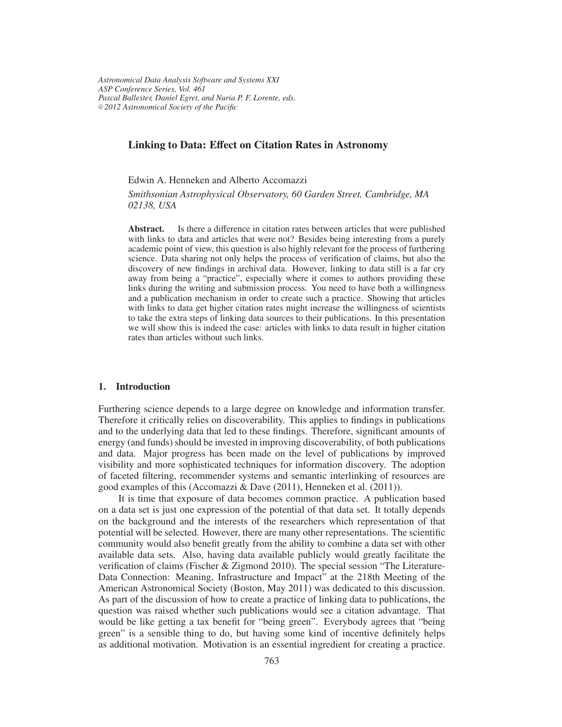*Astronomical Data Analysis Software and Systems XXI ASP Conference Series, Vol. 461 Pascal Ballester, Daniel Egret, and Nuria P. F. Lorente, eds.* <sup>c</sup> *2012 Astronomical Society of the Pacific*

# **Linking to Data: E**ff**ect on Citation Rates in Astronomy**

Edwin A. Henneken and Alberto Accomazzi

*Smithsonian Astrophysical Observatory, 60 Garden Street, Cambridge, MA 02138, USA*

**Abstract.** Is there a difference in citation rates between articles that were published with links to data and articles that were not? Besides being interesting from a purely academic point of view, this question is also highly relevant for the process of furthering science. Data sharing not only helps the process of verification of claims, but also the discovery of new findings in archival data. However, linking to data still is a far cry away from being a "practice", especially where it comes to authors providing these links during the writing and submission process. You need to have both a willingness and a publication mechanism in order to create such a practice. Showing that articles with links to data get higher citation rates might increase the willingness of scientists to take the extra steps of linking data sources to their publications. In this presentation we will show this is indeed the case: articles with links to data result in higher citation rates than articles without such links.

# **1. Introduction**

Furthering science depends to a large degree on knowledge and information transfer. Therefore it critically relies on discoverability. This applies to findings in publications and to the underlying data that led to these findings. Therefore, significant amounts of energy (and funds) should be invested in improving discoverability, of both publications and data. Major progress has been made on the level of publications by improved visibility and more sophisticated techniques for information discovery. The adoption of faceted filtering, recommender systems and semantic interlinking of resources are good examples of this (Accomazzi & Dave (2011), Henneken et al. (2011)).

It is time that exposure of data becomes common practice. A publication based on a data set is just one expression of the potential of that data set. It totally depends on the background and the interests of the researchers which representation of that potential will be selected. However, there are many other representations. The scientific community would also benefit greatly from the ability to combine a data set with other available data sets. Also, having data available publicly would greatly facilitate the verification of claims (Fischer & Zigmond 2010). The special session "The Literature-Data Connection: Meaning, Infrastructure and Impact" at the 218th Meeting of the American Astronomical Society (Boston, May 2011) was dedicated to this discussion. As part of the discussion of how to create a practice of linking data to publications, the question was raised whether such publications would see a citation advantage. That would be like getting a tax benefit for "being green". Everybody agrees that "being green" is a sensible thing to do, but having some kind of incentive definitely helps as additional motivation. Motivation is an essential ingredient for creating a practice.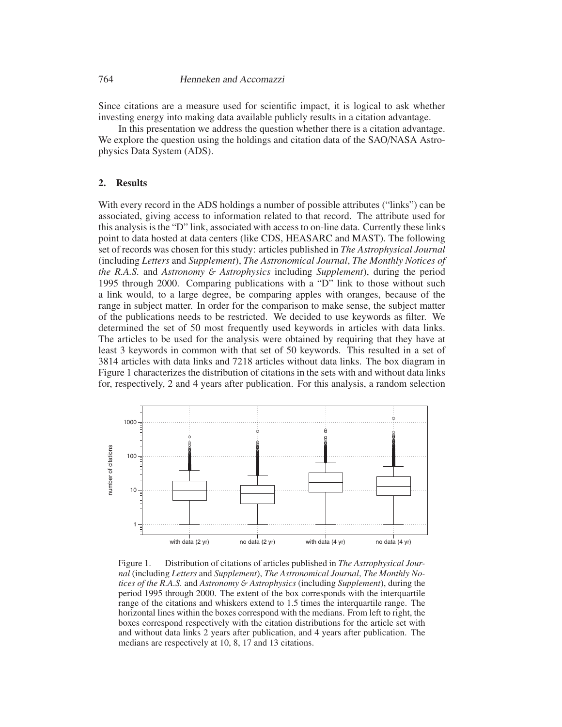#### 764 Henneken and Accomazzi

Since citations are a measure used for scientific impact, it is logical to ask whether investing energy into making data available publicly results in a citation advantage.

In this presentation we address the question whether there is a citation advantage. We explore the question using the holdings and citation data of the SAO/NASA Astrophysics Data System (ADS).

# **2. Results**

With every record in the ADS holdings a number of possible attributes ("links") can be associated, giving access to information related to that record. The attribute used for this analysis is the "D" link, associated with access to on-line data. Currently these links point to data hosted at data centers (like CDS, HEASARC and MAST). The following set of records was chosen for this study: articles published in *The Astrophysical Journal* (including *Letters* and *Supplement*), *The Astronomical Journal*, *The Monthly Notices of the R.A.S.* and *Astronomy* & *Astrophysics* including *Supplement*), during the period 1995 through 2000. Comparing publications with a "D" link to those without such a link would, to a large degree, be comparing apples with oranges, because of the range in subject matter. In order for the comparison to make sense, the subject matter of the publications needs to be restricted. We decided to use keywords as filter. We determined the set of 50 most frequently used keywords in articles with data links. The articles to be used for the analysis were obtained by requiring that they have at least 3 keywords in common with that set of 50 keywords. This resulted in a set of 3814 articles with data links and 7218 articles without data links. The box diagram in Figure 1 characterizes the distribution of citations in the sets with and without data links for, respectively, 2 and 4 years after publication. For this analysis, a random selection



Figure 1. Distribution of citations of articles published in *The Astrophysical Journal* (including *Letters* and *Supplement*), *The Astronomical Journal*, *The Monthly Notices of the R.A.S.* and *Astronomy* & *Astrophysics* (including *Supplement*), during the period 1995 through 2000. The extent of the box corresponds with the interquartile range of the citations and whiskers extend to 1.5 times the interquartile range. The horizontal lines within the boxes correspond with the medians. From left to right, the boxes correspond respectively with the citation distributions for the article set with and without data links 2 years after publication, and 4 years after publication. The medians are respectively at 10, 8, 17 and 13 citations.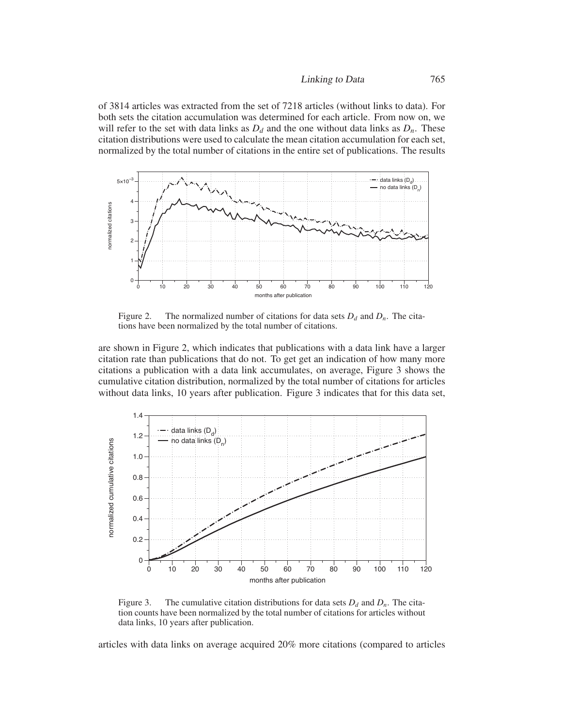of 3814 articles was extracted from the set of 7218 articles (without links to data). For both sets the citation accumulation was determined for each article. From now on, we will refer to the set with data links as  $D_d$  and the one without data links as  $D_n$ . These citation distributions were used to calculate the mean citation accumulation for each set, normalized by the total number of citations in the entire set of publications. The results



Figure 2. The normalized number of citations for data sets  $D_d$  and  $D_n$ . The citations have been normalized by the total number of citations.

are shown in Figure 2, which indicates that publications with a data link have a larger citation rate than publications that do not. To get get an indication of how many more citations a publication with a data link accumulates, on average, Figure 3 shows the cumulative citation distribution, normalized by the total number of citations for articles without data links, 10 years after publication. Figure 3 indicates that for this data set,



Figure 3. The cumulative citation distributions for data sets  $D_d$  and  $D_n$ . The citation counts have been normalized by the total number of citations for articles without data links, 10 years after publication.

articles with data links on average acquired 20% more citations (compared to articles